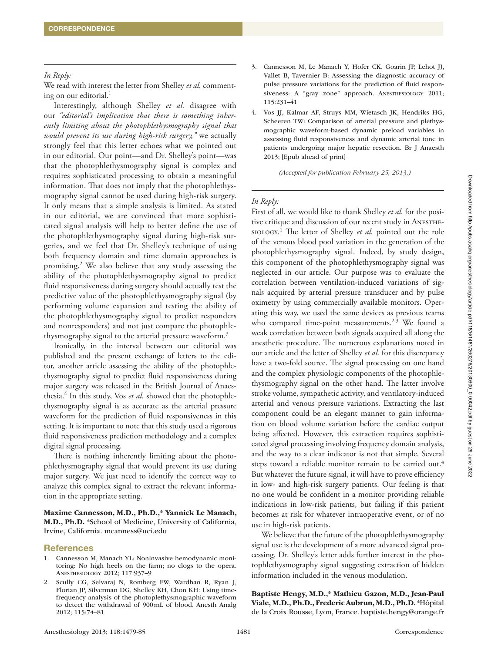### *In Reply:*

We read with interest the letter from Shelley *et al.* commenting on our editorial.<sup>1</sup>

Interestingly, although Shelley *et al.* disagree with our *"editorial's implication that there is something inherently limiting about the photophlethysmography signal that would prevent its use during high-risk surgery,"* we actually strongly feel that this letter echoes what we pointed out in our editorial. Our point—and Dr. Shelley's point—was that the photophlethysmography signal is complex and requires sophisticated processing to obtain a meaningful information. That does not imply that the photophlethysmography signal cannot be used during high-risk surgery. It only means that a simple analysis is limited. As stated in our editorial, we are convinced that more sophisticated signal analysis will help to better define the use of the photophlethysmography signal during high-risk surgeries, and we feel that Dr. Shelley's technique of using both frequency domain and time domain approaches is promising.2 We also believe that any study assessing the ability of the photophlethysmography signal to predict fluid responsiveness during surgery should actually test the predictive value of the photophlethysmography signal (by performing volume expansion and testing the ability of the photophlethysmography signal to predict responders and nonresponders) and not just compare the photophlethysmography signal to the arterial pressure waveform.<sup>3</sup>

Ironically, in the interval between our editorial was published and the present exchange of letters to the editor, another article assessing the ability of the photophlethysmography signal to predict fluid responsiveness during major surgery was released in the British Journal of Anaesthesia.<sup>4</sup> In this study, Vos *et al.* showed that the photophlethysmography signal is as accurate as the arterial pressure waveform for the prediction of fluid responsiveness in this setting. It is important to note that this study used a rigorous fluid responsiveness prediction methodology and a complex digital signal processing.

There is nothing inherently limiting about the photophlethysmography signal that would prevent its use during major surgery. We just need to identify the correct way to analyze this complex signal to extract the relevant information in the appropriate setting.

Maxime Cannesson, M.D., Ph.D.,\* Yannick Le Manach, M.D., Ph.D. \*School of Medicine, University of California, Irvine, California. [mcanness@uci.edu](mailto:mcanness@uci.edu)

### **References**

- 1. Cannesson M, Manach YL: Noninvasive hemodynamic monitoring: No high heels on the farm; no clogs to the opera. Anesthesiology 2012; 117:937–9
- 2. Scully CG, Selvaraj N, Romberg FW, Wardhan R, Ryan J, Florian JP, Silverman DG, Shelley KH, Chon KH: Using timefrequency analysis of the photoplethysmographic waveform to detect the withdrawal of 900mL of blood. Anesth Analg 2012; 115:74–81
- 3. Cannesson M, Le Manach Y, Hofer CK, Goarin JP, Lehot JJ, Vallet B, Tavernier B: Assessing the diagnostic accuracy of pulse pressure variations for the prediction of fluid responsiveness: A "gray zone" approach. ANESTHESIOLOGY 2011; 115:231–41
- 4. Vos JJ, Kalmar AF, Struys MM, Wietasch JK, Hendriks HG, Scheeren TW: Comparison of arterial pressure and plethysmographic waveform-based dynamic preload variables in assessing fluid responsiveness and dynamic arterial tone in patients undergoing major hepatic resection. Br J Anaesth 2013; [Epub ahead of print]

*(Accepted for publication February 25, 2013.)*

### *In Reply:*

First of all, we would like to thank Shelley *et al.* for the positive critique and discussion of our recent study in ANESTHEsiology. 1 The letter of Shelley *et al.* pointed out the role of the venous blood pool variation in the generation of the photophlethysmography signal. Indeed, by study design, this component of the photophlethysmography signal was neglected in our article. Our purpose was to evaluate the correlation between ventilation-induced variations of signals acquired by arterial pressure transducer and by pulse oximetry by using commercially available monitors. Operating this way, we used the same devices as previous teams who compared time-point measurements.<sup>2,3</sup> We found a weak correlation between both signals acquired all along the anesthetic procedure. The numerous explanations noted in our article and the letter of Shelley *et al.* for this discrepancy have a two-fold source. The signal processing on one hand and the complex physiologic components of the photophlethysmography signal on the other hand. The latter involve stroke volume, sympathetic activity, and ventilatory-induced arterial and venous pressure variations. Extracting the last component could be an elegant manner to gain information on blood volume variation before the cardiac output being affected. However, this extraction requires sophisticated signal processing involving frequency domain analysis, and the way to a clear indicator is not that simple. Several steps toward a reliable monitor remain to be carried out.<sup>4</sup> But whatever the future signal, it will have to prove efficiency in low- and high-risk surgery patients. Our feeling is that no one would be confident in a monitor providing reliable indications in low-risk patients, but failing if this patient becomes at risk for whatever intraoperative event, or of no use in high-risk patients.

We believe that the future of the photophlethysmography signal use is the development of a more advanced signal processing. Dr. Shelley's letter adds further interest in the photophlethysmography signal suggesting extraction of hidden information included in the venous modulation.

Baptiste Hengy, M.D.,\* Mathieu Gazon, M.D., Jean-Paul Viale, M.D., Ph.D., Frederic Aubrun, M.D., Ph.D. \*Hôpital de la Croix Rousse, Lyon, France. [baptiste.hengy@orange.fr](mailto:baptiste.hengy@orange.fr)